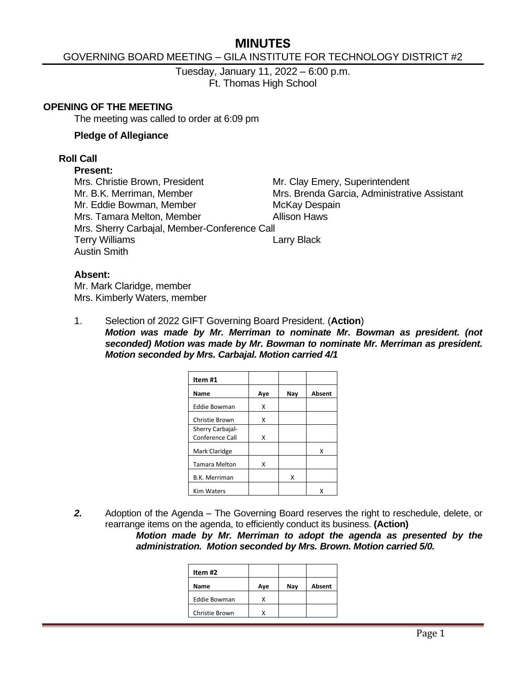# **MINUTES**

## GOVERNING BOARD MEETING – GILA INSTITUTE FOR TECHNOLOGY DISTRICT #2

Tuesday, January 11, 2022 – 6:00 p.m. Ft. Thomas High School

#### **OPENING OF THE MEETING**

The meeting was called to order at 6:09 pm

#### **Pledge of Allegiance**

#### **Roll Call**

#### **Present:**

Mrs. Christie Brown, President Mr. Clay Emery, Superintendent Mr. B.K. Merriman, Member Mrs. Brenda Garcia, Administrative Assistant Mr. Eddie Bowman, Member McKay Despain Mrs. Tamara Melton, Member **Allison Haws** Mrs. Sherry Carbajal, Member-Conference Call Terry Williams **Lack Communist Communist Communist Communist Communist Communist Communist Communist Communist Communist Communist Communist Communist Communist Communist Communist Communist Communist Communist Communist C** Austin Smith

#### **Absent:**

Mr. Mark Claridge, member Mrs. Kimberly Waters, member

1. Selection of 2022 GIFT Governing Board President. (**Action**) *Motion was made by Mr. Merriman to nominate Mr. Bowman as president. (not seconded) Motion was made by Mr. Bowman to nominate Mr. Merriman as president. Motion seconded by Mrs. Carbajal. Motion carried 4/1*

| Aye | Nay | Absent |
|-----|-----|--------|
| x   |     |        |
| x   |     |        |
|     |     |        |
|     |     | x      |
| x   |     |        |
|     | х   |        |
|     |     |        |
|     | x   |        |

*2.* Adoption of the Agenda – The Governing Board reserves the right to reschedule, delete, or rearrange items on the agenda, to efficiently conduct its business. **(Action)**

*Motion made by Mr. Merriman to adopt the agenda as presented by the administration. Motion seconded by Mrs. Brown. Motion carried 5/0.*

| Item #2        |     |     |        |
|----------------|-----|-----|--------|
| Name           | Ave | Nav | Absent |
| Eddie Bowman   |     |     |        |
| Christie Brown |     |     |        |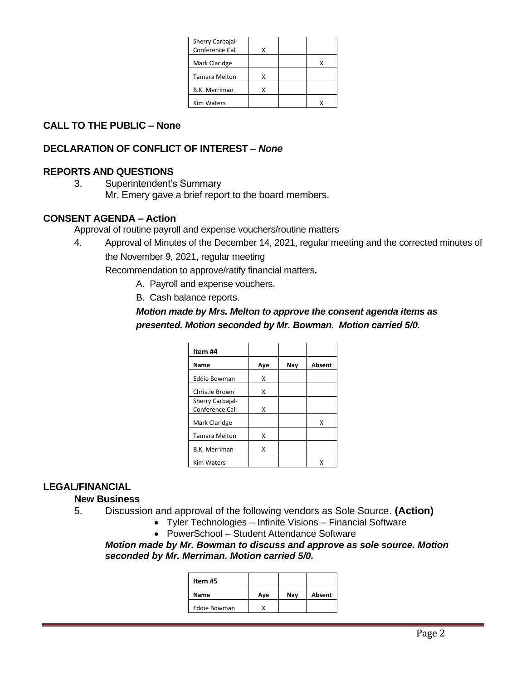| Sherry Carbajal-<br>Conference Call | x |  |
|-------------------------------------|---|--|
| Mark Claridge                       |   |  |
| <b>Tamara Melton</b>                | x |  |
| <b>B.K. Merriman</b>                | x |  |
| <b>Kim Waters</b>                   |   |  |

# **CALL TO THE PUBLIC – None**

### **DECLARATION OF CONFLICT OF INTEREST –** *None*

### **REPORTS AND QUESTIONS**

3. Superintendent's Summary Mr. Emery gave a brief report to the board members.

#### **CONSENT AGENDA – Action**

Approval of routine payroll and expense vouchers/routine matters

4. Approval of Minutes of the December 14, 2021, regular meeting and the corrected minutes of the November 9, 2021, regular meeting

Recommendation to approve/ratify financial matters**.**

- A. Payroll and expense vouchers.
- B. Cash balance reports.

# *Motion made by Mrs. Melton to approve the consent agenda items as presented. Motion seconded by Mr. Bowman. Motion carried 5/0.*

| Item #4                             |     |     |        |
|-------------------------------------|-----|-----|--------|
| Name                                | Aye | Nay | Absent |
| <b>Eddie Bowman</b>                 | x   |     |        |
| Christie Brown                      | x   |     |        |
| Sherry Carbajal-<br>Conference Call | x   |     |        |
| Mark Claridge                       |     |     | x      |
| <b>Tamara Melton</b>                | x   |     |        |
| <b>B.K. Merriman</b>                | x   |     |        |
| <b>Kim Waters</b>                   |     |     |        |

### **LEGAL/FINANCIAL**

#### **New Business**

- 5. Discussion and approval of the following vendors as Sole Source. **(Action)**
	- Tyler Technologies Infinite Visions Financial Software
	- PowerSchool Student Attendance Software

#### *Motion made by Mr. Bowman to discuss and approve as sole source. Motion seconded by Mr. Merriman. Motion carried 5/0.*

| Item #5 |     |     |        |
|---------|-----|-----|--------|
| Name    | Aye | Nav | Absent |
|         |     |     |        |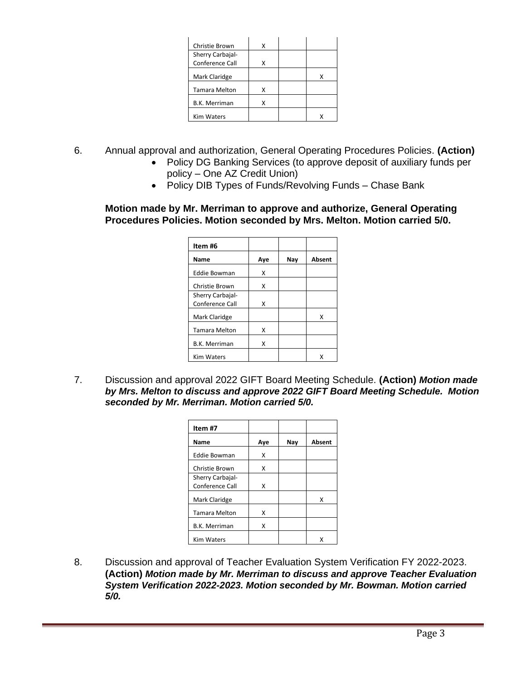| Christie Brown       | x |  |
|----------------------|---|--|
| Sherry Carbajal-     |   |  |
| Conference Call      | x |  |
| Mark Claridge        |   |  |
| <b>Tamara Melton</b> | x |  |
| <b>B.K. Merriman</b> | x |  |
| <b>Kim Waters</b>    |   |  |

- 6. Annual approval and authorization, General Operating Procedures Policies. **(Action)**
	- Policy DG Banking Services (to approve deposit of auxiliary funds per policy – One AZ Credit Union)
	- Policy DIB Types of Funds/Revolving Funds Chase Bank

#### **Motion made by Mr. Merriman to approve and authorize, General Operating Procedures Policies. Motion seconded by Mrs. Melton. Motion carried 5/0.**

| Item #6              |     |     |        |
|----------------------|-----|-----|--------|
| Name                 | Aye | Nav | Absent |
| <b>Eddie Bowman</b>  | x   |     |        |
| Christie Brown       | x   |     |        |
| Sherry Carbajal-     |     |     |        |
| Conference Call      | x   |     |        |
| Mark Claridge        |     |     | x      |
| <b>Tamara Melton</b> | x   |     |        |
| <b>B.K. Merriman</b> | x   |     |        |
| <b>Kim Waters</b>    |     |     |        |

7. Discussion and approval 2022 GIFT Board Meeting Schedule. **(Action)** *Motion made by Mrs. Melton to discuss and approve 2022 GIFT Board Meeting Schedule. Motion seconded by Mr. Merriman. Motion carried 5/0.*

| Item #7              |     |     |        |
|----------------------|-----|-----|--------|
| Name                 | Aye | Nav | Absent |
| <b>Eddie Bowman</b>  | x   |     |        |
| Christie Brown       | x   |     |        |
| Sherry Carbajal-     |     |     |        |
| Conference Call      | x   |     |        |
| Mark Claridge        |     |     | x      |
| <b>Tamara Melton</b> | x   |     |        |
| <b>B.K. Merriman</b> | x   |     |        |
| <b>Kim Waters</b>    |     |     | x      |

8. Discussion and approval of Teacher Evaluation System Verification FY 2022-2023. **(Action)** *Motion made by Mr. Merriman to discuss and approve Teacher Evaluation System Verification 2022-2023. Motion seconded by Mr. Bowman. Motion carried 5/0.*